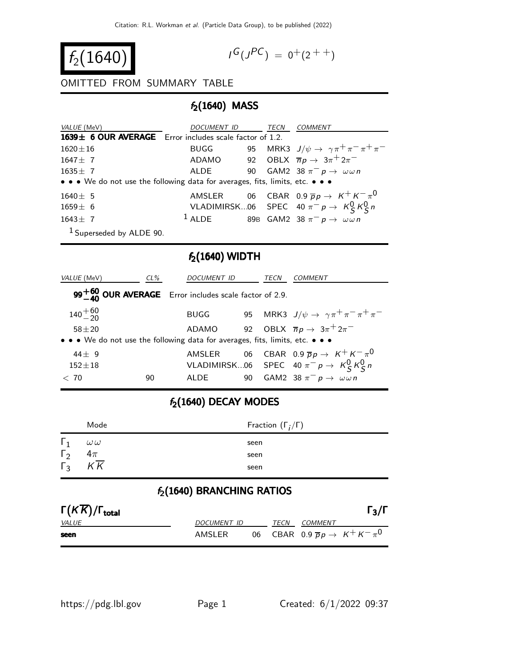$$
f_2(1640)
$$

$$
I^G(J^{PC}) = 0^+(2^{++})
$$

#### OMITTED FROM SUMMARY TABLE

### $f_2(1640)$  MASS

| VALUE (MeV)                                                                   | DOCUMENT ID                                                 | TECN | <i>COMMENT</i>                                                   |  |
|-------------------------------------------------------------------------------|-------------------------------------------------------------|------|------------------------------------------------------------------|--|
| 1639 $\pm$ 6 OUR AVERAGE Error includes scale factor of 1.2.                  |                                                             |      |                                                                  |  |
| $1620 \pm 16$                                                                 |                                                             |      | BUGG 95 MRK3 $J/\psi \rightarrow \gamma \pi^+ \pi^- \pi^+ \pi^-$ |  |
| $1647 + 7$                                                                    | ADAMO 92 OBLX $\overline{n}p \rightarrow 3\pi^+2\pi^-$      |      |                                                                  |  |
| $1635 \pm 7$                                                                  | ALDE 90                                                     |      | GAM2 38 $\pi^- p \rightarrow \omega \omega n$                    |  |
| • • • We do not use the following data for averages, fits, limits, etc. • • • |                                                             |      |                                                                  |  |
| $1640 \pm 5$                                                                  |                                                             |      | AMSLER 06 CBAR 0.9 $\overline{p}p \rightarrow K^+ K^- \pi^0$     |  |
| $1659 \pm 6$                                                                  |                                                             |      | VLADIMIRSK06 SPEC 40 $\pi^- p \to K_S^0 K_S^0 n$                 |  |
| $1643 + 7$                                                                    | <sup>1</sup> ALDE 89B GAM2 38 $\pi^- p \to \omega \omega n$ |      |                                                                  |  |
| $1$ Superseded by ALDE 90.                                                    |                                                             |      |                                                                  |  |

### $f_2(1640)$  WIDTH

| VALUE (MeV)                                                                   | $CL\%$ | DOCUMENT ID                                                      |    | TECN | <i>COMMENT</i>                                              |
|-------------------------------------------------------------------------------|--------|------------------------------------------------------------------|----|------|-------------------------------------------------------------|
|                                                                               |        | $99^{+60}_{-40}$ OUR AVERAGE Error includes scale factor of 2.9. |    |      |                                                             |
| $140^{+60}_{-20}$                                                             |        | <b>BUGG</b>                                                      |    |      | 95 MRK3 $J/\psi \rightarrow \gamma \pi^+ \pi^- \pi^+ \pi^-$ |
| $58 + 20$                                                                     |        | ADAMO                                                            |    |      | 92 OBLX $\overline{n}p \rightarrow 3\pi^+ 2\pi^-$           |
| • • • We do not use the following data for averages, fits, limits, etc. • • • |        |                                                                  |    |      |                                                             |
| $44 + 9$                                                                      |        | AMSLER                                                           |    |      | 06 CBAR 0.9 $\overline{p}p \rightarrow K^+ K^- \pi^0$       |
| $152 \pm 18$                                                                  |        |                                                                  |    |      | VLADIMIRSK06 SPEC 40 $\pi^- p \to K^0_S K^0_S n$            |
| < 70                                                                          | 90     | ALDE                                                             | 90 |      | GAM2 38 $\pi^ p \to \omega \omega n$                        |

# $f_2(1640)$  DECAY MODES

|            | Mode             | Fraction $(\Gamma_i/\Gamma)$ |
|------------|------------------|------------------------------|
| $\Gamma_1$ | $\omega\,\omega$ | seen                         |
| $\Gamma_2$ | $4\pi$           | seen                         |
| $\Gamma_3$ | $K\overline{K}$  | seen                         |

### $f_2(1640)$  BRANCHING RATIOS

| $\Gamma(K\overline{K})/\Gamma_{\rm total}$ |             |      |                | $\Gamma_3/\Gamma$                                     |
|--------------------------------------------|-------------|------|----------------|-------------------------------------------------------|
| <i>VALUE</i>                               | DOCUMENT ID | TECN | <i>COMMENT</i> |                                                       |
| seen                                       | AMSLER      |      |                | 06 CBAR 0.9 $\overline{p}p \rightarrow K^+ K^- \pi^0$ |